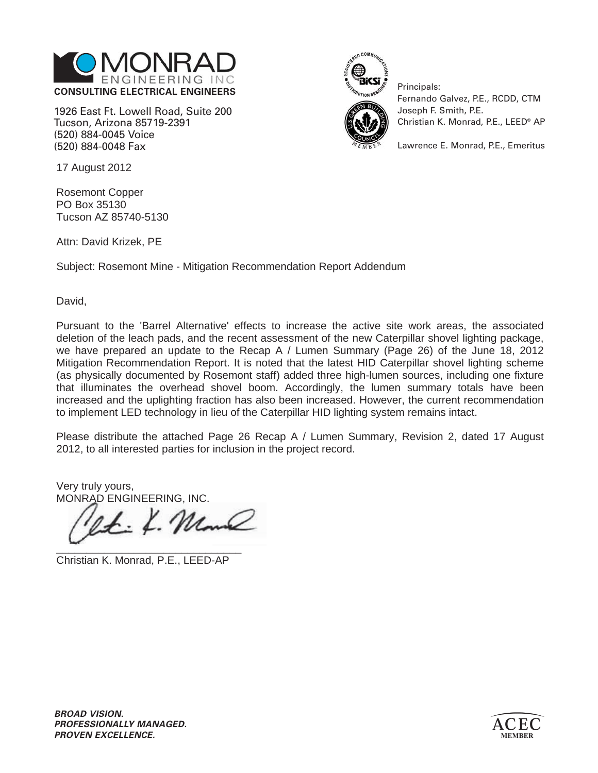

1926 East Ft. Lowell Road, Suite 200 Tucson, Arizona 85719-2391 (520) 884-0045 Voice (520) 884-0048 Fax



Principals: Fernando Galvez, P.E., RCDD, CTM Joseph F. Smith, P.E. Christian K. Monrad, P.E., LEED® AP

Lawrence E. Monrad, P.E., Emeritus

17 August 2012

Rosemont Copper PO Box 35130 Tucson AZ 85740-5130

Attn: David Krizek, PE

Subject: Rosemont Mine - Mitigation Recommendation Report Addendum

David,

Pursuant to the 'Barrel Alternative' effects to increase the active site work areas, the associated deletion of the leach pads, and the recent assessment of the new Caterpillar shovel lighting package, we have prepared an update to the Recap A / Lumen Summary (Page 26) of the June 18, 2012 Mitigation Recommendation Report. It is noted that the latest HID Caterpillar shovel lighting scheme (as physically documented by Rosemont staff) added three high-lumen sources, including one fixture that illuminates the overhead shovel boom. Accordingly, the lumen summary totals have been increased and the uplighting fraction has also been increased. However, the current recommendation to implement LED technology in lieu of the Caterpillar HID lighting system remains intact.

Please distribute the attached Page 26 Recap A / Lumen Summary, Revision 2, dated 17 August 2012, to all interested parties for inclusion in the project record.

Very truly yours, MONRAD ENGINEERING, INC.

 $4.12$  $\overline{\phantom{a}}$  ,  $\overline{\phantom{a}}$  ,  $\overline{\phantom{a}}$  ,  $\overline{\phantom{a}}$  ,  $\overline{\phantom{a}}$  ,  $\overline{\phantom{a}}$  ,  $\overline{\phantom{a}}$  ,  $\overline{\phantom{a}}$  ,  $\overline{\phantom{a}}$  ,  $\overline{\phantom{a}}$  ,  $\overline{\phantom{a}}$  ,  $\overline{\phantom{a}}$  ,  $\overline{\phantom{a}}$  ,  $\overline{\phantom{a}}$  ,  $\overline{\phantom{a}}$  ,  $\overline{\phantom{a}}$ 

Christian K. Monrad, P.E., LEED-AP